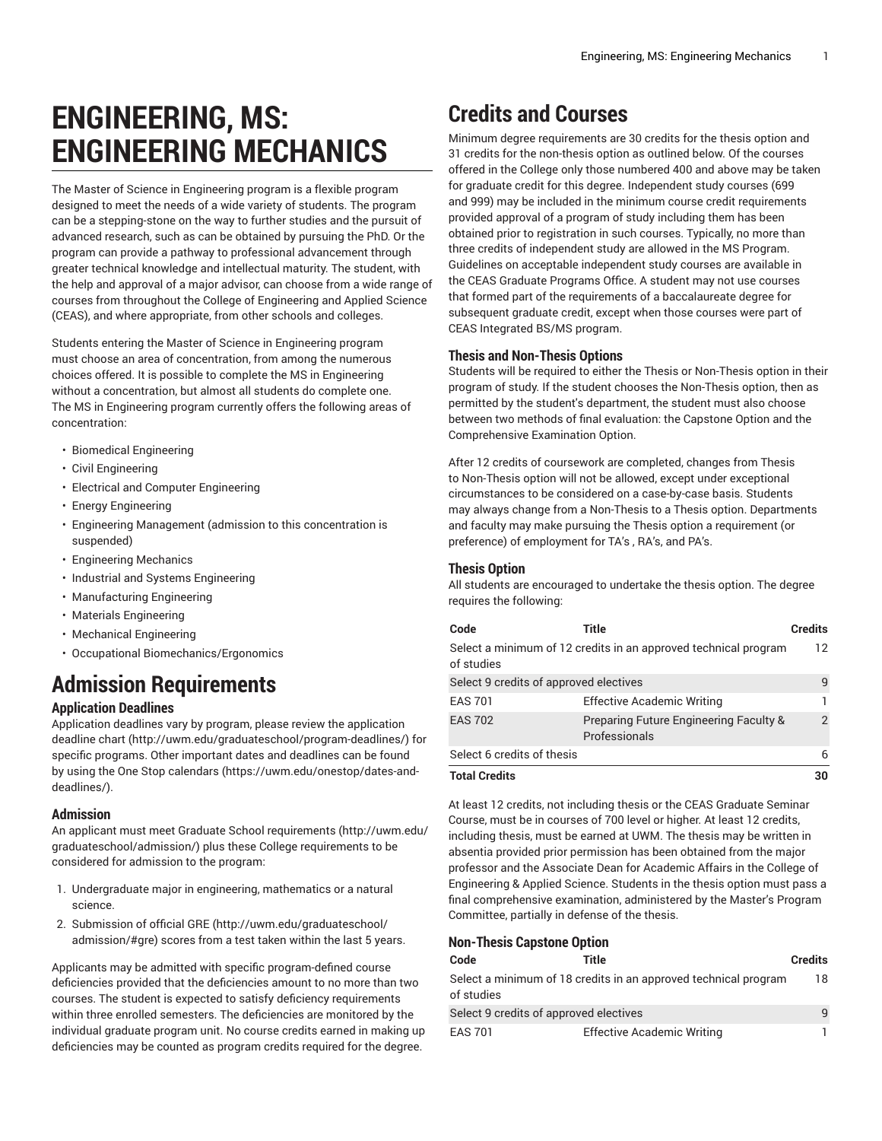# **ENGINEERING, MS: ENGINEERING MECHANICS**

The Master of Science in Engineering program is a flexible program designed to meet the needs of a wide variety of students. The program can be a stepping-stone on the way to further studies and the pursuit of advanced research, such as can be obtained by pursuing the PhD. Or the program can provide a pathway to professional advancement through greater technical knowledge and intellectual maturity. The student, with the help and approval of a major advisor, can choose from a wide range of courses from throughout the College of Engineering and Applied Science (CEAS), and where appropriate, from other schools and colleges.

Students entering the Master of Science in Engineering program must choose an area of concentration, from among the numerous choices offered. It is possible to complete the MS in Engineering without a concentration, but almost all students do complete one. The MS in Engineering program currently offers the following areas of concentration:

- Biomedical Engineering
- Civil Engineering
- Electrical and Computer Engineering
- Energy Engineering
- Engineering Management (admission to this concentration is suspended)
- Engineering Mechanics
- Industrial and Systems Engineering
- Manufacturing Engineering
- Materials Engineering
- Mechanical Engineering
- Occupational Biomechanics/Ergonomics

# **Admission Requirements**

### **Application Deadlines**

Application deadlines vary by program, please review the [application](http://uwm.edu/graduateschool/program-deadlines/) [deadline](http://uwm.edu/graduateschool/program-deadlines/) chart ([http://uwm.edu/graduateschool/program-deadlines/\)](http://uwm.edu/graduateschool/program-deadlines/) for specific programs. Other important dates and deadlines can be found by using the [One Stop calendars](https://uwm.edu/onestop/dates-and-deadlines/) ([https://uwm.edu/onestop/dates-and](https://uwm.edu/onestop/dates-and-deadlines/)[deadlines/\)](https://uwm.edu/onestop/dates-and-deadlines/).

#### **Admission**

An applicant must meet Graduate School [requirements](http://uwm.edu/graduateschool/admission/) ([http://uwm.edu/](http://uwm.edu/graduateschool/admission/) [graduateschool/admission/](http://uwm.edu/graduateschool/admission/)) plus these College requirements to be considered for admission to the program:

- 1. Undergraduate major in engineering, mathematics or a natural science.
- 2. Submission of official [GRE \(http://uwm.edu/graduateschool/](http://uwm.edu/graduateschool/admission/#gre) [admission/#gre](http://uwm.edu/graduateschool/admission/#gre)) scores from a test taken within the last 5 years.

Applicants may be admitted with specific program-defined course deficiencies provided that the deficiencies amount to no more than two courses. The student is expected to satisfy deficiency requirements within three enrolled semesters. The deficiencies are monitored by the individual graduate program unit. No course credits earned in making up deficiencies may be counted as program credits required for the degree.

# **Credits and Courses**

Minimum degree requirements are 30 credits for the thesis option and 31 credits for the non-thesis option as outlined below. Of the courses offered in the College only those numbered 400 and above may be taken for graduate credit for this degree. Independent study courses (699 and 999) may be included in the minimum course credit requirements provided approval of a program of study including them has been obtained prior to registration in such courses. Typically, no more than three credits of independent study are allowed in the MS Program. Guidelines on acceptable independent study courses are available in the CEAS Graduate Programs Office. A student may not use courses that formed part of the requirements of a baccalaureate degree for subsequent graduate credit, except when those courses were part of CEAS Integrated BS/MS program.

#### **Thesis and Non-Thesis Options**

Students will be required to either the Thesis or Non-Thesis option in their program of study. If the student chooses the Non-Thesis option, then as permitted by the student's department, the student must also choose between two methods of final evaluation: the Capstone Option and the Comprehensive Examination Option.

After 12 credits of coursework are completed, changes from Thesis to Non-Thesis option will not be allowed, except under exceptional circumstances to be considered on a case-by-case basis. Students may always change from a Non-Thesis to a Thesis option. Departments and faculty may make pursuing the Thesis option a requirement (or preference) of employment for TA's , RA's, and PA's.

### **Thesis Option**

All students are encouraged to undertake the thesis option. The degree requires the following:

| Code                                   | Title                                                           | <b>Credits</b> |
|----------------------------------------|-----------------------------------------------------------------|----------------|
| of studies                             | Select a minimum of 12 credits in an approved technical program | 12             |
| Select 9 credits of approved electives |                                                                 | 9              |
| <b>EAS 701</b>                         | <b>Effective Academic Writing</b>                               |                |
| <b>EAS 702</b>                         | Preparing Future Engineering Faculty &<br>Professionals         | 2              |
| Select 6 credits of thesis             |                                                                 | 6              |
| <b>Total Credits</b>                   |                                                                 | 30             |

At least 12 credits, not including thesis or the CEAS Graduate Seminar Course, must be in courses of 700 level or higher. At least 12 credits, including thesis, must be earned at UWM. The thesis may be written in absentia provided prior permission has been obtained from the major professor and the Associate Dean for Academic Affairs in the College of Engineering & Applied Science. Students in the thesis option must pass a final comprehensive examination, administered by the Master's Program Committee, partially in defense of the thesis.

## **Non-Thesis Capstone Option**

| Code                                   | Title                                                           | <b>Credits</b> |
|----------------------------------------|-----------------------------------------------------------------|----------------|
| of studies                             | Select a minimum of 18 credits in an approved technical program | 18             |
| Select 9 credits of approved electives |                                                                 | 9              |
| <b>EAS 701</b>                         | <b>Effective Academic Writing</b>                               |                |